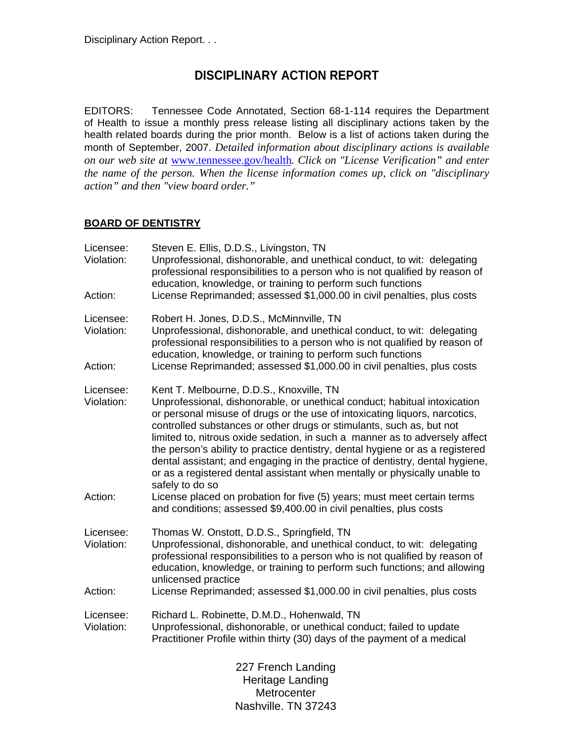# **DISCIPLINARY ACTION REPORT**

EDITORS: Tennessee Code Annotated, Section 68-1-114 requires the Department of Health to issue a monthly press release listing all disciplinary actions taken by the health related boards during the prior month. Below is a list of actions taken during the month of September, 2007. *Detailed information about disciplinary actions is available on our web site at* www.tennessee.gov/health*. Click on "License Verification" and enter the name of the person. When the license information comes up, click on "disciplinary action" and then "view board order."* 

### **BOARD OF DENTISTRY**

| Licensee:<br>Violation:<br>Action: | Steven E. Ellis, D.D.S., Livingston, TN<br>Unprofessional, dishonorable, and unethical conduct, to wit: delegating<br>professional responsibilities to a person who is not qualified by reason of<br>education, knowledge, or training to perform such functions<br>License Reprimanded; assessed \$1,000.00 in civil penalties, plus costs                                                                                                                                                                                                                                                                                 |
|------------------------------------|-----------------------------------------------------------------------------------------------------------------------------------------------------------------------------------------------------------------------------------------------------------------------------------------------------------------------------------------------------------------------------------------------------------------------------------------------------------------------------------------------------------------------------------------------------------------------------------------------------------------------------|
| Licensee:<br>Violation:            | Robert H. Jones, D.D.S., McMinnville, TN<br>Unprofessional, dishonorable, and unethical conduct, to wit: delegating<br>professional responsibilities to a person who is not qualified by reason of<br>education, knowledge, or training to perform such functions                                                                                                                                                                                                                                                                                                                                                           |
| Action:                            | License Reprimanded; assessed \$1,000.00 in civil penalties, plus costs                                                                                                                                                                                                                                                                                                                                                                                                                                                                                                                                                     |
| Licensee:<br>Violation:            | Kent T. Melbourne, D.D.S., Knoxville, TN<br>Unprofessional, dishonorable, or unethical conduct; habitual intoxication<br>or personal misuse of drugs or the use of intoxicating liquors, narcotics,<br>controlled substances or other drugs or stimulants, such as, but not<br>limited to, nitrous oxide sedation, in such a manner as to adversely affect<br>the person's ability to practice dentistry, dental hygiene or as a registered<br>dental assistant; and engaging in the practice of dentistry, dental hygiene,<br>or as a registered dental assistant when mentally or physically unable to<br>safely to do so |
| Action:                            | License placed on probation for five (5) years; must meet certain terms<br>and conditions; assessed \$9,400.00 in civil penalties, plus costs                                                                                                                                                                                                                                                                                                                                                                                                                                                                               |
| Licensee:<br>Violation:            | Thomas W. Onstott, D.D.S., Springfield, TN<br>Unprofessional, dishonorable, and unethical conduct, to wit: delegating<br>professional responsibilities to a person who is not qualified by reason of<br>education, knowledge, or training to perform such functions; and allowing<br>unlicensed practice                                                                                                                                                                                                                                                                                                                    |
| Action:                            | License Reprimanded; assessed \$1,000.00 in civil penalties, plus costs                                                                                                                                                                                                                                                                                                                                                                                                                                                                                                                                                     |
| Licensee:<br>Violation:            | Richard L. Robinette, D.M.D., Hohenwald, TN<br>Unprofessional, dishonorable, or unethical conduct; failed to update<br>Practitioner Profile within thirty (30) days of the payment of a medical                                                                                                                                                                                                                                                                                                                                                                                                                             |
|                                    | 227 French Landing<br>Heritage Landing<br>Metrocenter<br>Nashville. TN 37243                                                                                                                                                                                                                                                                                                                                                                                                                                                                                                                                                |
|                                    |                                                                                                                                                                                                                                                                                                                                                                                                                                                                                                                                                                                                                             |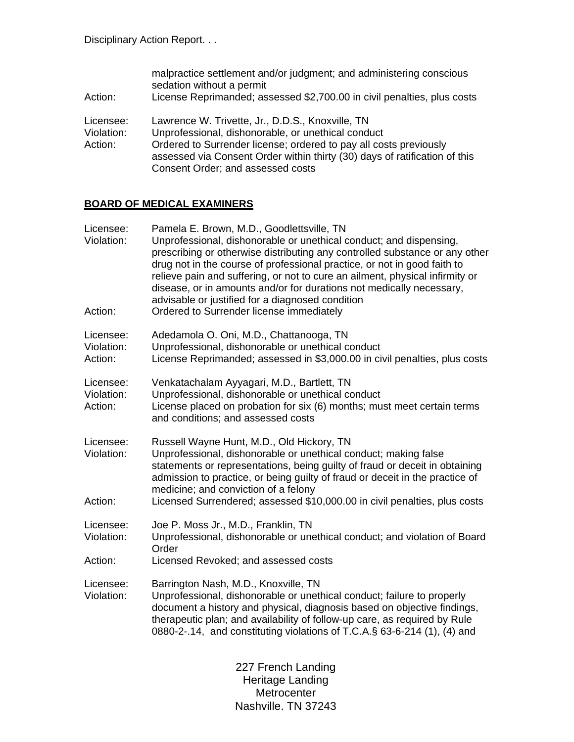| Action:                            | malpractice settlement and/or judgment; and administering conscious<br>sedation without a permit<br>License Reprimanded; assessed \$2,700.00 in civil penalties, plus costs                                                                                                                    |
|------------------------------------|------------------------------------------------------------------------------------------------------------------------------------------------------------------------------------------------------------------------------------------------------------------------------------------------|
| Licensee:<br>Violation:<br>Action: | Lawrence W. Trivette, Jr., D.D.S., Knoxville, TN<br>Unprofessional, dishonorable, or unethical conduct<br>Ordered to Surrender license; ordered to pay all costs previously<br>assessed via Consent Order within thirty (30) days of ratification of this<br>Consent Order; and assessed costs |

## **BOARD OF MEDICAL EXAMINERS**

| Licensee:<br>Violation:<br>Action: | Pamela E. Brown, M.D., Goodlettsville, TN<br>Unprofessional, dishonorable or unethical conduct; and dispensing,<br>prescribing or otherwise distributing any controlled substance or any other<br>drug not in the course of professional practice, or not in good faith to<br>relieve pain and suffering, or not to cure an ailment, physical infirmity or<br>disease, or in amounts and/or for durations not medically necessary,<br>advisable or justified for a diagnosed condition<br>Ordered to Surrender license immediately |
|------------------------------------|------------------------------------------------------------------------------------------------------------------------------------------------------------------------------------------------------------------------------------------------------------------------------------------------------------------------------------------------------------------------------------------------------------------------------------------------------------------------------------------------------------------------------------|
| Licensee:<br>Violation:<br>Action: | Adedamola O. Oni, M.D., Chattanooga, TN<br>Unprofessional, dishonorable or unethical conduct<br>License Reprimanded; assessed in \$3,000.00 in civil penalties, plus costs                                                                                                                                                                                                                                                                                                                                                         |
| Licensee:<br>Violation:<br>Action: | Venkatachalam Ayyagari, M.D., Bartlett, TN<br>Unprofessional, dishonorable or unethical conduct<br>License placed on probation for six (6) months; must meet certain terms<br>and conditions; and assessed costs                                                                                                                                                                                                                                                                                                                   |
| Licensee:<br>Violation:<br>Action: | Russell Wayne Hunt, M.D., Old Hickory, TN<br>Unprofessional, dishonorable or unethical conduct; making false<br>statements or representations, being guilty of fraud or deceit in obtaining<br>admission to practice, or being guilty of fraud or deceit in the practice of<br>medicine; and conviction of a felony<br>Licensed Surrendered; assessed \$10,000.00 in civil penalties, plus costs                                                                                                                                   |
| Licensee:<br>Violation:            | Joe P. Moss Jr., M.D., Franklin, TN<br>Unprofessional, dishonorable or unethical conduct; and violation of Board<br>Order                                                                                                                                                                                                                                                                                                                                                                                                          |
| Action:                            | Licensed Revoked; and assessed costs                                                                                                                                                                                                                                                                                                                                                                                                                                                                                               |
| Licensee:<br>Violation:            | Barrington Nash, M.D., Knoxville, TN<br>Unprofessional, dishonorable or unethical conduct; failure to properly<br>document a history and physical, diagnosis based on objective findings,<br>therapeutic plan; and availability of follow-up care, as required by Rule<br>0880-2-.14, and constituting violations of T.C.A.§ 63-6-214 (1), (4) and                                                                                                                                                                                 |
|                                    | 227 French Landing                                                                                                                                                                                                                                                                                                                                                                                                                                                                                                                 |

425 Fifth Avenue North Metrocenter www.coom.com<br>Nashville, TN 37243 Heritage Landing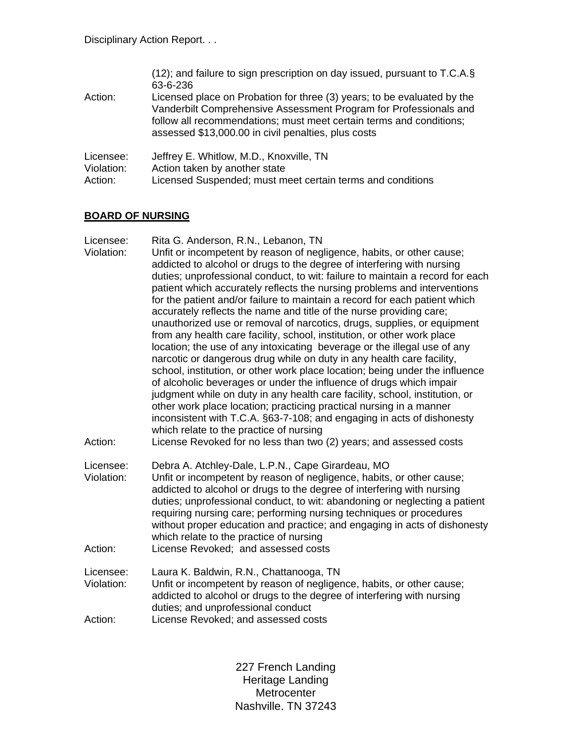|            | (12); and failure to sign prescription on day issued, pursuant to T.C.A.§<br>63-6-236                                                                                                                                                                                      |
|------------|----------------------------------------------------------------------------------------------------------------------------------------------------------------------------------------------------------------------------------------------------------------------------|
| Action:    | Licensed place on Probation for three (3) years; to be evaluated by the<br>Vanderbilt Comprehensive Assessment Program for Professionals and<br>follow all recommendations; must meet certain terms and conditions;<br>assessed \$13,000.00 in civil penalties, plus costs |
| Licensee:  | Jeffrey E. Whitlow, M.D., Knoxville, TN                                                                                                                                                                                                                                    |
| Violation: | Action taken by another state                                                                                                                                                                                                                                              |
| Action:    | Licensed Suspended; must meet certain terms and conditions                                                                                                                                                                                                                 |

## **BOARD OF NURSING**

| Licensee:<br>Violation:<br>Action: | Rita G. Anderson, R.N., Lebanon, TN<br>Unfit or incompetent by reason of negligence, habits, or other cause;<br>addicted to alcohol or drugs to the degree of interfering with nursing<br>duties; unprofessional conduct, to wit: failure to maintain a record for each<br>patient which accurately reflects the nursing problems and interventions<br>for the patient and/or failure to maintain a record for each patient which<br>accurately reflects the name and title of the nurse providing care;<br>unauthorized use or removal of narcotics, drugs, supplies, or equipment<br>from any health care facility, school, institution, or other work place<br>location; the use of any intoxicating beverage or the illegal use of any<br>narcotic or dangerous drug while on duty in any health care facility,<br>school, institution, or other work place location; being under the influence<br>of alcoholic beverages or under the influence of drugs which impair<br>judgment while on duty in any health care facility, school, institution, or<br>other work place location; practicing practical nursing in a manner<br>inconsistent with T.C.A. §63-7-108; and engaging in acts of dishonesty<br>which relate to the practice of nursing<br>License Revoked for no less than two (2) years; and assessed costs |
|------------------------------------|-----------------------------------------------------------------------------------------------------------------------------------------------------------------------------------------------------------------------------------------------------------------------------------------------------------------------------------------------------------------------------------------------------------------------------------------------------------------------------------------------------------------------------------------------------------------------------------------------------------------------------------------------------------------------------------------------------------------------------------------------------------------------------------------------------------------------------------------------------------------------------------------------------------------------------------------------------------------------------------------------------------------------------------------------------------------------------------------------------------------------------------------------------------------------------------------------------------------------------------------------------------------------------------------------------------------------------|
| Licensee:<br>Violation:<br>Action: | Debra A. Atchley-Dale, L.P.N., Cape Girardeau, MO<br>Unfit or incompetent by reason of negligence, habits, or other cause;<br>addicted to alcohol or drugs to the degree of interfering with nursing<br>duties; unprofessional conduct, to wit: abandoning or neglecting a patient<br>requiring nursing care; performing nursing techniques or procedures<br>without proper education and practice; and engaging in acts of dishonesty<br>which relate to the practice of nursing<br>License Revoked; and assessed costs                                                                                                                                                                                                                                                                                                                                                                                                                                                                                                                                                                                                                                                                                                                                                                                                    |
| Licensee:<br>Violation:<br>Action: | Laura K. Baldwin, R.N., Chattanooga, TN<br>Unfit or incompetent by reason of negligence, habits, or other cause;<br>addicted to alcohol or drugs to the degree of interfering with nursing<br>duties; and unprofessional conduct<br>License Revoked; and assessed costs                                                                                                                                                                                                                                                                                                                                                                                                                                                                                                                                                                                                                                                                                                                                                                                                                                                                                                                                                                                                                                                     |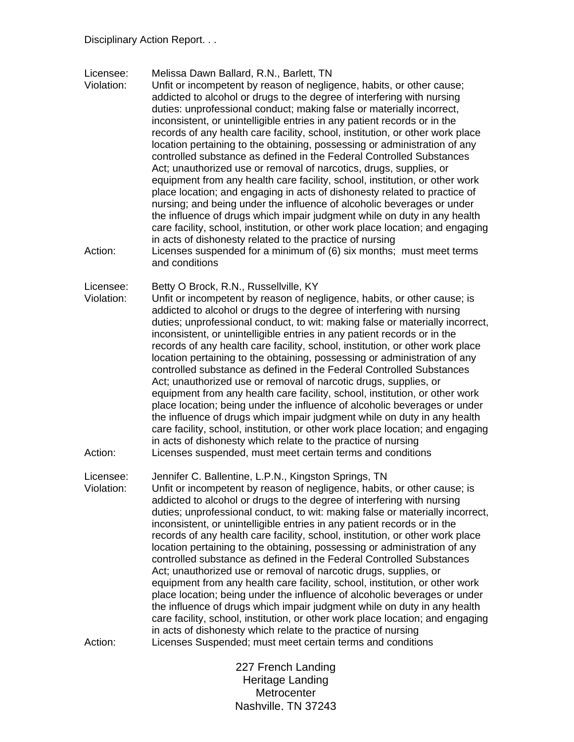Licensee: Melissa Dawn Ballard, R.N., Barlett, TN

Violation: Unfit or incompetent by reason of negligence, habits, or other cause; addicted to alcohol or drugs to the degree of interfering with nursing duties: unprofessional conduct; making false or materially incorrect, inconsistent, or unintelligible entries in any patient records or in the records of any health care facility, school, institution, or other work place location pertaining to the obtaining, possessing or administration of any controlled substance as defined in the Federal Controlled Substances Act; unauthorized use or removal of narcotics, drugs, supplies, or equipment from any health care facility, school, institution, or other work place location; and engaging in acts of dishonesty related to practice of nursing; and being under the influence of alcoholic beverages or under the influence of drugs which impair judgment while on duty in any health care facility, school, institution, or other work place location; and engaging in acts of dishonesty related to the practice of nursing Action: Licenses suspended for a minimum of (6) six months; must meet terms

and conditions

Licensee: Betty O Brock, R.N., Russellville, KY

Violation: Unfit or incompetent by reason of negligence, habits, or other cause; is addicted to alcohol or drugs to the degree of interfering with nursing duties; unprofessional conduct, to wit: making false or materially incorrect, inconsistent, or unintelligible entries in any patient records or in the records of any health care facility, school, institution, or other work place location pertaining to the obtaining, possessing or administration of any controlled substance as defined in the Federal Controlled Substances Act; unauthorized use or removal of narcotic drugs, supplies, or equipment from any health care facility, school, institution, or other work place location; being under the influence of alcoholic beverages or under the influence of drugs which impair judgment while on duty in any health care facility, school, institution, or other work place location; and engaging in acts of dishonesty which relate to the practice of nursing Action: Licenses suspended, must meet certain terms and conditions

Licensee: Jennifer C. Ballentine, L.P.N., Kingston Springs, TN Violation: Unfit or incompetent by reason of negligence, habits, or other cause; is addicted to alcohol or drugs to the degree of interfering with nursing duties; unprofessional conduct, to wit: making false or materially incorrect, inconsistent, or unintelligible entries in any patient records or in the records of any health care facility, school, institution, or other work place location pertaining to the obtaining, possessing or administration of any controlled substance as defined in the Federal Controlled Substances Act; unauthorized use or removal of narcotic drugs, supplies, or equipment from any health care facility, school, institution, or other work place location; being under the influence of alcoholic beverages or under the influence of drugs which impair judgment while on duty in any health care facility, school, institution, or other work place location; and engaging in acts of dishonesty which relate to the practice of nursing Action: Licenses Suspended; must meet certain terms and conditions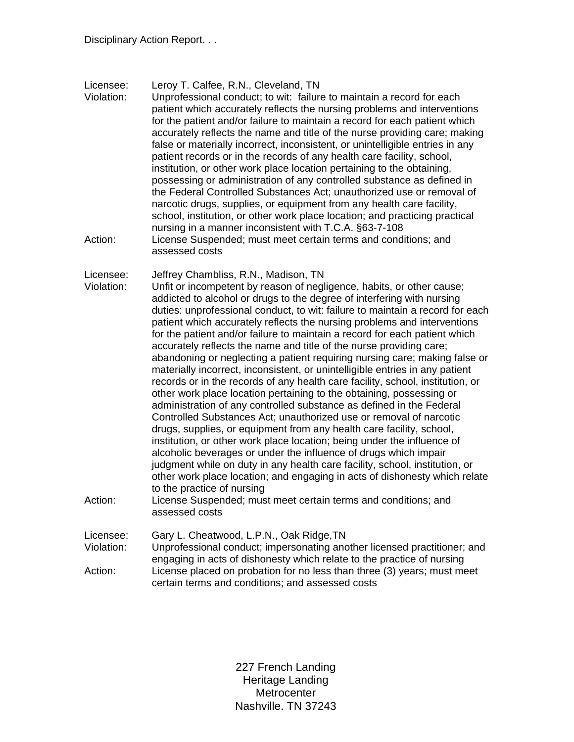Licensee: Leroy T. Calfee, R.N., Cleveland, TN

Violation: Unprofessional conduct; to wit: failure to maintain a record for each patient which accurately reflects the nursing problems and interventions for the patient and/or failure to maintain a record for each patient which accurately reflects the name and title of the nurse providing care; making false or materially incorrect, inconsistent, or unintelligible entries in any patient records or in the records of any health care facility, school, institution, or other work place location pertaining to the obtaining, possessing or administration of any controlled substance as defined in the Federal Controlled Substances Act; unauthorized use or removal of narcotic drugs, supplies, or equipment from any health care facility, school, institution, or other work place location; and practicing practical nursing in a manner inconsistent with T.C.A. §63-7-108 Action: License Suspended; must meet certain terms and conditions; and assessed costs

Licensee: Jeffrey Chambliss, R.N., Madison, TN

Violation: Unfit or incompetent by reason of negligence, habits, or other cause; addicted to alcohol or drugs to the degree of interfering with nursing duties: unprofessional conduct, to wit: failure to maintain a record for each patient which accurately reflects the nursing problems and interventions for the patient and/or failure to maintain a record for each patient which accurately reflects the name and title of the nurse providing care; abandoning or neglecting a patient requiring nursing care; making false or materially incorrect, inconsistent, or unintelligible entries in any patient records or in the records of any health care facility, school, institution, or other work place location pertaining to the obtaining, possessing or administration of any controlled substance as defined in the Federal Controlled Substances Act; unauthorized use or removal of narcotic drugs, supplies, or equipment from any health care facility, school, institution, or other work place location; being under the influence of alcoholic beverages or under the influence of drugs which impair judgment while on duty in any health care facility, school, institution, or other work place location; and engaging in acts of dishonesty which relate to the practice of nursing Action: License Suspended; must meet certain terms and conditions; and

assessed costs

Licensee: Gary L. Cheatwood, L.P.N., Oak Ridge,TN Violation: Unprofessional conduct; impersonating another licensed practitioner; and engaging in acts of dishonesty which relate to the practice of nursing Action: License placed on probation for no less than three (3) years; must meet certain terms and conditions; and assessed costs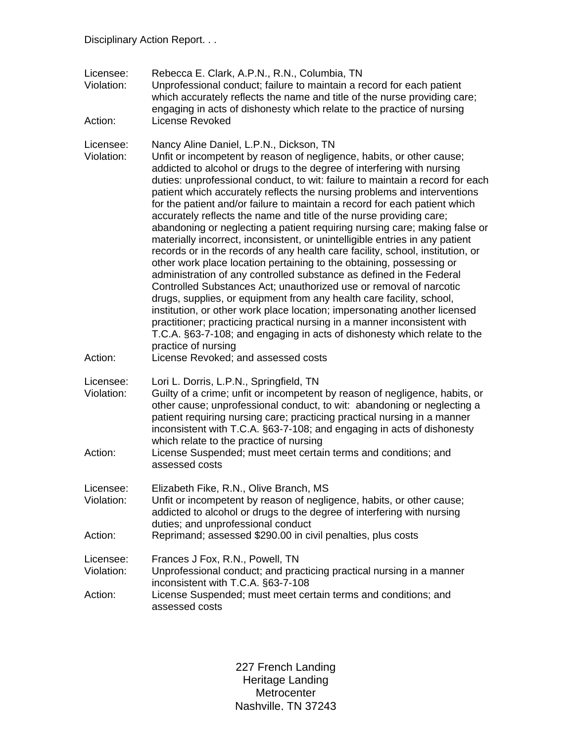| Licensee:<br>Violation:<br>Action: | Rebecca E. Clark, A.P.N., R.N., Columbia, TN<br>Unprofessional conduct; failure to maintain a record for each patient<br>which accurately reflects the name and title of the nurse providing care;<br>engaging in acts of dishonesty which relate to the practice of nursing<br><b>License Revoked</b>                                                                                                                                                                                                                                                                                                                                                                                                                                                                                                                                                                                                                                                                                                                                                                                                                                                                                                                                                                                                                                                        |
|------------------------------------|---------------------------------------------------------------------------------------------------------------------------------------------------------------------------------------------------------------------------------------------------------------------------------------------------------------------------------------------------------------------------------------------------------------------------------------------------------------------------------------------------------------------------------------------------------------------------------------------------------------------------------------------------------------------------------------------------------------------------------------------------------------------------------------------------------------------------------------------------------------------------------------------------------------------------------------------------------------------------------------------------------------------------------------------------------------------------------------------------------------------------------------------------------------------------------------------------------------------------------------------------------------------------------------------------------------------------------------------------------------|
| Licensee:<br>Violation:<br>Action: | Nancy Aline Daniel, L.P.N., Dickson, TN<br>Unfit or incompetent by reason of negligence, habits, or other cause;<br>addicted to alcohol or drugs to the degree of interfering with nursing<br>duties: unprofessional conduct, to wit: failure to maintain a record for each<br>patient which accurately reflects the nursing problems and interventions<br>for the patient and/or failure to maintain a record for each patient which<br>accurately reflects the name and title of the nurse providing care;<br>abandoning or neglecting a patient requiring nursing care; making false or<br>materially incorrect, inconsistent, or unintelligible entries in any patient<br>records or in the records of any health care facility, school, institution, or<br>other work place location pertaining to the obtaining, possessing or<br>administration of any controlled substance as defined in the Federal<br>Controlled Substances Act; unauthorized use or removal of narcotic<br>drugs, supplies, or equipment from any health care facility, school,<br>institution, or other work place location; impersonating another licensed<br>practitioner; practicing practical nursing in a manner inconsistent with<br>T.C.A. §63-7-108; and engaging in acts of dishonesty which relate to the<br>practice of nursing<br>License Revoked; and assessed costs |
| Licensee:<br>Violation:<br>Action: | Lori L. Dorris, L.P.N., Springfield, TN<br>Guilty of a crime; unfit or incompetent by reason of negligence, habits, or<br>other cause; unprofessional conduct, to wit: abandoning or neglecting a<br>patient requiring nursing care; practicing practical nursing in a manner<br>inconsistent with T.C.A. §63-7-108; and engaging in acts of dishonesty<br>which relate to the practice of nursing<br>License Suspended; must meet certain terms and conditions; and<br>assessed costs                                                                                                                                                                                                                                                                                                                                                                                                                                                                                                                                                                                                                                                                                                                                                                                                                                                                        |
| Licensee:<br>Violation:            | Elizabeth Fike, R.N., Olive Branch, MS<br>Unfit or incompetent by reason of negligence, habits, or other cause;<br>addicted to alcohol or drugs to the degree of interfering with nursing<br>duties; and unprofessional conduct                                                                                                                                                                                                                                                                                                                                                                                                                                                                                                                                                                                                                                                                                                                                                                                                                                                                                                                                                                                                                                                                                                                               |
| Action:                            | Reprimand; assessed \$290.00 in civil penalties, plus costs                                                                                                                                                                                                                                                                                                                                                                                                                                                                                                                                                                                                                                                                                                                                                                                                                                                                                                                                                                                                                                                                                                                                                                                                                                                                                                   |
| Licensee:<br>Violation:<br>Action: | Frances J Fox, R.N., Powell, TN<br>Unprofessional conduct; and practicing practical nursing in a manner<br>inconsistent with T.C.A. §63-7-108<br>License Suspended; must meet certain terms and conditions; and<br>assessed costs                                                                                                                                                                                                                                                                                                                                                                                                                                                                                                                                                                                                                                                                                                                                                                                                                                                                                                                                                                                                                                                                                                                             |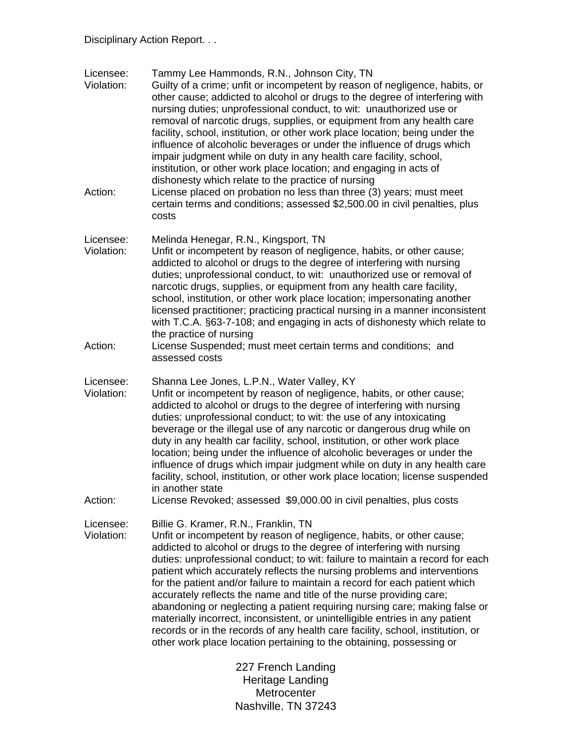| Licensee:<br>Violation: | Tammy Lee Hammonds, R.N., Johnson City, TN<br>Guilty of a crime; unfit or incompetent by reason of negligence, habits, or<br>other cause; addicted to alcohol or drugs to the degree of interfering with<br>nursing duties; unprofessional conduct, to wit: unauthorized use or<br>removal of narcotic drugs, supplies, or equipment from any health care<br>facility, school, institution, or other work place location; being under the<br>influence of alcoholic beverages or under the influence of drugs which<br>impair judgment while on duty in any health care facility, school,<br>institution, or other work place location; and engaging in acts of                                                                                                                                                                   |
|-------------------------|-----------------------------------------------------------------------------------------------------------------------------------------------------------------------------------------------------------------------------------------------------------------------------------------------------------------------------------------------------------------------------------------------------------------------------------------------------------------------------------------------------------------------------------------------------------------------------------------------------------------------------------------------------------------------------------------------------------------------------------------------------------------------------------------------------------------------------------|
| Action:                 | dishonesty which relate to the practice of nursing<br>License placed on probation no less than three (3) years; must meet<br>certain terms and conditions; assessed \$2,500.00 in civil penalties, plus<br>costs                                                                                                                                                                                                                                                                                                                                                                                                                                                                                                                                                                                                                  |
| Licensee:<br>Violation: | Melinda Henegar, R.N., Kingsport, TN<br>Unfit or incompetent by reason of negligence, habits, or other cause;<br>addicted to alcohol or drugs to the degree of interfering with nursing<br>duties; unprofessional conduct, to wit: unauthorized use or removal of<br>narcotic drugs, supplies, or equipment from any health care facility,<br>school, institution, or other work place location; impersonating another<br>licensed practitioner; practicing practical nursing in a manner inconsistent<br>with T.C.A. §63-7-108; and engaging in acts of dishonesty which relate to<br>the practice of nursing                                                                                                                                                                                                                    |
| Action:                 | License Suspended; must meet certain terms and conditions; and<br>assessed costs                                                                                                                                                                                                                                                                                                                                                                                                                                                                                                                                                                                                                                                                                                                                                  |
| Licensee:<br>Violation: | Shanna Lee Jones, L.P.N., Water Valley, KY<br>Unfit or incompetent by reason of negligence, habits, or other cause;<br>addicted to alcohol or drugs to the degree of interfering with nursing<br>duties: unprofessional conduct; to wit: the use of any intoxicating<br>beverage or the illegal use of any narcotic or dangerous drug while on<br>duty in any health car facility, school, institution, or other work place<br>location; being under the influence of alcoholic beverages or under the<br>influence of drugs which impair judgment while on duty in any health care<br>facility, school, institution, or other work place location; license suspended<br>in another state                                                                                                                                         |
| Action:                 | License Revoked; assessed \$9,000.00 in civil penalties, plus costs                                                                                                                                                                                                                                                                                                                                                                                                                                                                                                                                                                                                                                                                                                                                                               |
| Licensee:<br>Violation: | Billie G. Kramer, R.N., Franklin, TN<br>Unfit or incompetent by reason of negligence, habits, or other cause;<br>addicted to alcohol or drugs to the degree of interfering with nursing<br>duties: unprofessional conduct; to wit: failure to maintain a record for each<br>patient which accurately reflects the nursing problems and interventions<br>for the patient and/or failure to maintain a record for each patient which<br>accurately reflects the name and title of the nurse providing care;<br>abandoning or neglecting a patient requiring nursing care; making false or<br>materially incorrect, inconsistent, or unintelligible entries in any patient<br>records or in the records of any health care facility, school, institution, or<br>other work place location pertaining to the obtaining, possessing or |
|                         | 227 French Landing<br>Heritage Landing                                                                                                                                                                                                                                                                                                                                                                                                                                                                                                                                                                                                                                                                                                                                                                                            |

Metrocenter www.coom.com<br>Nashville, TN 37243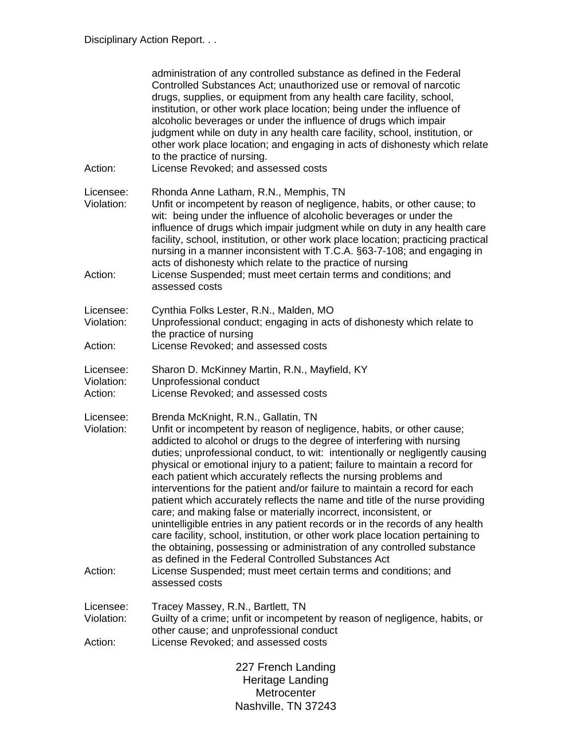| Action:                            | administration of any controlled substance as defined in the Federal<br>Controlled Substances Act; unauthorized use or removal of narcotic<br>drugs, supplies, or equipment from any health care facility, school,<br>institution, or other work place location; being under the influence of<br>alcoholic beverages or under the influence of drugs which impair<br>judgment while on duty in any health care facility, school, institution, or<br>other work place location; and engaging in acts of dishonesty which relate<br>to the practice of nursing.<br>License Revoked; and assessed costs                                                                                                                                                                                                                                                                                                                                                                                                                                               |
|------------------------------------|----------------------------------------------------------------------------------------------------------------------------------------------------------------------------------------------------------------------------------------------------------------------------------------------------------------------------------------------------------------------------------------------------------------------------------------------------------------------------------------------------------------------------------------------------------------------------------------------------------------------------------------------------------------------------------------------------------------------------------------------------------------------------------------------------------------------------------------------------------------------------------------------------------------------------------------------------------------------------------------------------------------------------------------------------|
| Licensee:<br>Violation:<br>Action: | Rhonda Anne Latham, R.N., Memphis, TN<br>Unfit or incompetent by reason of negligence, habits, or other cause; to<br>wit: being under the influence of alcoholic beverages or under the<br>influence of drugs which impair judgment while on duty in any health care<br>facility, school, institution, or other work place location; practicing practical<br>nursing in a manner inconsistent with T.C.A. §63-7-108; and engaging in<br>acts of dishonesty which relate to the practice of nursing<br>License Suspended; must meet certain terms and conditions; and<br>assessed costs                                                                                                                                                                                                                                                                                                                                                                                                                                                             |
| Licensee:<br>Violation:            | Cynthia Folks Lester, R.N., Malden, MO<br>Unprofessional conduct; engaging in acts of dishonesty which relate to<br>the practice of nursing                                                                                                                                                                                                                                                                                                                                                                                                                                                                                                                                                                                                                                                                                                                                                                                                                                                                                                        |
| Action:                            | License Revoked; and assessed costs                                                                                                                                                                                                                                                                                                                                                                                                                                                                                                                                                                                                                                                                                                                                                                                                                                                                                                                                                                                                                |
| Licensee:<br>Violation:<br>Action: | Sharon D. McKinney Martin, R.N., Mayfield, KY<br>Unprofessional conduct<br>License Revoked; and assessed costs                                                                                                                                                                                                                                                                                                                                                                                                                                                                                                                                                                                                                                                                                                                                                                                                                                                                                                                                     |
| Licensee:<br>Violation:<br>Action: | Brenda McKnight, R.N., Gallatin, TN<br>Unfit or incompetent by reason of negligence, habits, or other cause;<br>addicted to alcohol or drugs to the degree of interfering with nursing<br>duties; unprofessional conduct, to wit: intentionally or negligently causing<br>physical or emotional injury to a patient; failure to maintain a record for<br>each patient which accurately reflects the nursing problems and<br>interventions for the patient and/or failure to maintain a record for each<br>patient which accurately reflects the name and title of the nurse providing<br>care; and making false or materially incorrect, inconsistent, or<br>unintelligible entries in any patient records or in the records of any health<br>care facility, school, institution, or other work place location pertaining to<br>the obtaining, possessing or administration of any controlled substance<br>as defined in the Federal Controlled Substances Act<br>License Suspended; must meet certain terms and conditions; and<br>assessed costs |
| Licensee:<br>Violation:<br>Action: | Tracey Massey, R.N., Bartlett, TN<br>Guilty of a crime; unfit or incompetent by reason of negligence, habits, or<br>other cause; and unprofessional conduct<br>License Revoked; and assessed costs                                                                                                                                                                                                                                                                                                                                                                                                                                                                                                                                                                                                                                                                                                                                                                                                                                                 |
|                                    | 227 French Landing<br>Heritage Landing<br>Metrocenter<br>Nashville. TN 37243                                                                                                                                                                                                                                                                                                                                                                                                                                                                                                                                                                                                                                                                                                                                                                                                                                                                                                                                                                       |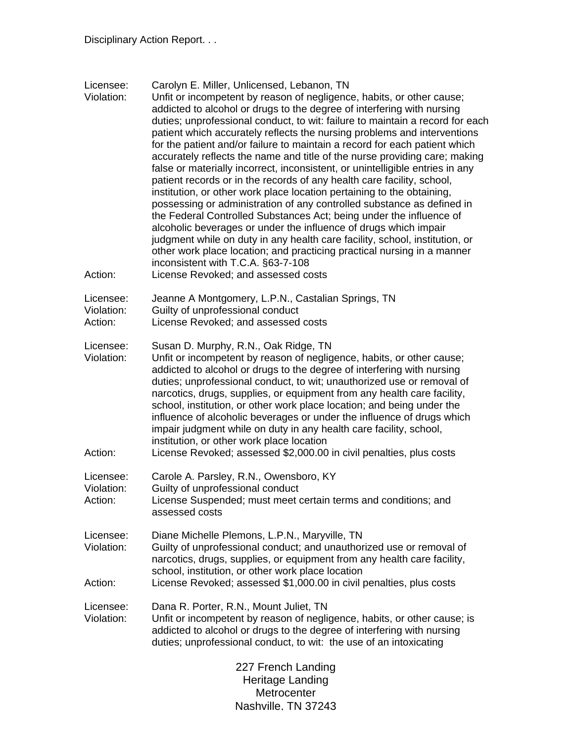| Licensee:<br>Violation:<br>Action: | Carolyn E. Miller, Unlicensed, Lebanon, TN<br>Unfit or incompetent by reason of negligence, habits, or other cause;<br>addicted to alcohol or drugs to the degree of interfering with nursing<br>duties; unprofessional conduct, to wit: failure to maintain a record for each<br>patient which accurately reflects the nursing problems and interventions<br>for the patient and/or failure to maintain a record for each patient which<br>accurately reflects the name and title of the nurse providing care; making<br>false or materially incorrect, inconsistent, or unintelligible entries in any<br>patient records or in the records of any health care facility, school,<br>institution, or other work place location pertaining to the obtaining,<br>possessing or administration of any controlled substance as defined in<br>the Federal Controlled Substances Act; being under the influence of<br>alcoholic beverages or under the influence of drugs which impair<br>judgment while on duty in any health care facility, school, institution, or<br>other work place location; and practicing practical nursing in a manner<br>inconsistent with T.C.A. §63-7-108<br>License Revoked; and assessed costs |
|------------------------------------|-------------------------------------------------------------------------------------------------------------------------------------------------------------------------------------------------------------------------------------------------------------------------------------------------------------------------------------------------------------------------------------------------------------------------------------------------------------------------------------------------------------------------------------------------------------------------------------------------------------------------------------------------------------------------------------------------------------------------------------------------------------------------------------------------------------------------------------------------------------------------------------------------------------------------------------------------------------------------------------------------------------------------------------------------------------------------------------------------------------------------------------------------------------------------------------------------------------------------|
| Licensee:<br>Violation:<br>Action: | Jeanne A Montgomery, L.P.N., Castalian Springs, TN<br>Guilty of unprofessional conduct<br>License Revoked; and assessed costs                                                                                                                                                                                                                                                                                                                                                                                                                                                                                                                                                                                                                                                                                                                                                                                                                                                                                                                                                                                                                                                                                           |
| Licensee:<br>Violation:<br>Action: | Susan D. Murphy, R.N., Oak Ridge, TN<br>Unfit or incompetent by reason of negligence, habits, or other cause;<br>addicted to alcohol or drugs to the degree of interfering with nursing<br>duties; unprofessional conduct, to wit; unauthorized use or removal of<br>narcotics, drugs, supplies, or equipment from any health care facility,<br>school, institution, or other work place location; and being under the<br>influence of alcoholic beverages or under the influence of drugs which<br>impair judgment while on duty in any health care facility, school,<br>institution, or other work place location<br>License Revoked; assessed \$2,000.00 in civil penalties, plus costs                                                                                                                                                                                                                                                                                                                                                                                                                                                                                                                              |
| Licensee:<br>Violation:<br>Action: | Carole A. Parsley, R.N., Owensboro, KY<br>Guilty of unprofessional conduct<br>License Suspended; must meet certain terms and conditions; and<br>assessed costs                                                                                                                                                                                                                                                                                                                                                                                                                                                                                                                                                                                                                                                                                                                                                                                                                                                                                                                                                                                                                                                          |
| Licensee:<br>Violation:<br>Action: | Diane Michelle Plemons, L.P.N., Maryville, TN<br>Guilty of unprofessional conduct; and unauthorized use or removal of<br>narcotics, drugs, supplies, or equipment from any health care facility,<br>school, institution, or other work place location<br>License Revoked; assessed \$1,000.00 in civil penalties, plus costs                                                                                                                                                                                                                                                                                                                                                                                                                                                                                                                                                                                                                                                                                                                                                                                                                                                                                            |
| Licensee:<br>Violation:            | Dana R. Porter, R.N., Mount Juliet, TN<br>Unfit or incompetent by reason of negligence, habits, or other cause; is<br>addicted to alcohol or drugs to the degree of interfering with nursing<br>duties; unprofessional conduct, to wit: the use of an intoxicating                                                                                                                                                                                                                                                                                                                                                                                                                                                                                                                                                                                                                                                                                                                                                                                                                                                                                                                                                      |
|                                    | 227 French Landing<br>Heritage Landing<br>Metrocenter                                                                                                                                                                                                                                                                                                                                                                                                                                                                                                                                                                                                                                                                                                                                                                                                                                                                                                                                                                                                                                                                                                                                                                   |

www.coom.com<br>Nashville, TN 37243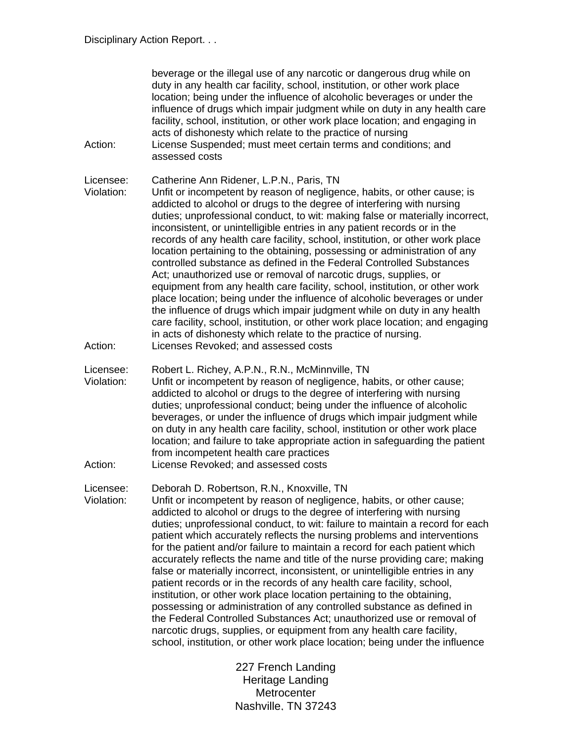| Action:                            | beverage or the illegal use of any narcotic or dangerous drug while on<br>duty in any health car facility, school, institution, or other work place<br>location; being under the influence of alcoholic beverages or under the<br>influence of drugs which impair judgment while on duty in any health care<br>facility, school, institution, or other work place location; and engaging in<br>acts of dishonesty which relate to the practice of nursing<br>License Suspended; must meet certain terms and conditions; and<br>assessed costs                                                                                                                                                                                                                                                                                                                                                                                                                                                                                                                                                             |
|------------------------------------|-----------------------------------------------------------------------------------------------------------------------------------------------------------------------------------------------------------------------------------------------------------------------------------------------------------------------------------------------------------------------------------------------------------------------------------------------------------------------------------------------------------------------------------------------------------------------------------------------------------------------------------------------------------------------------------------------------------------------------------------------------------------------------------------------------------------------------------------------------------------------------------------------------------------------------------------------------------------------------------------------------------------------------------------------------------------------------------------------------------|
| Licensee:<br>Violation:<br>Action: | Catherine Ann Ridener, L.P.N., Paris, TN<br>Unfit or incompetent by reason of negligence, habits, or other cause; is<br>addicted to alcohol or drugs to the degree of interfering with nursing<br>duties; unprofessional conduct, to wit: making false or materially incorrect,<br>inconsistent, or unintelligible entries in any patient records or in the<br>records of any health care facility, school, institution, or other work place<br>location pertaining to the obtaining, possessing or administration of any<br>controlled substance as defined in the Federal Controlled Substances<br>Act; unauthorized use or removal of narcotic drugs, supplies, or<br>equipment from any health care facility, school, institution, or other work<br>place location; being under the influence of alcoholic beverages or under<br>the influence of drugs which impair judgment while on duty in any health<br>care facility, school, institution, or other work place location; and engaging<br>in acts of dishonesty which relate to the practice of nursing.<br>Licenses Revoked; and assessed costs |
|                                    |                                                                                                                                                                                                                                                                                                                                                                                                                                                                                                                                                                                                                                                                                                                                                                                                                                                                                                                                                                                                                                                                                                           |
| Licensee:<br>Violation:<br>Action: | Robert L. Richey, A.P.N., R.N., McMinnville, TN<br>Unfit or incompetent by reason of negligence, habits, or other cause;<br>addicted to alcohol or drugs to the degree of interfering with nursing<br>duties; unprofessional conduct; being under the influence of alcoholic<br>beverages, or under the influence of drugs which impair judgment while<br>on duty in any health care facility, school, institution or other work place<br>location; and failure to take appropriate action in safeguarding the patient<br>from incompetent health care practices<br>License Revoked; and assessed costs                                                                                                                                                                                                                                                                                                                                                                                                                                                                                                   |
| Licensee:                          | Deborah D. Robertson, R.N., Knoxville, TN                                                                                                                                                                                                                                                                                                                                                                                                                                                                                                                                                                                                                                                                                                                                                                                                                                                                                                                                                                                                                                                                 |
| Violation:                         | Unfit or incompetent by reason of negligence, habits, or other cause;<br>addicted to alcohol or drugs to the degree of interfering with nursing<br>duties; unprofessional conduct, to wit: failure to maintain a record for each<br>patient which accurately reflects the nursing problems and interventions<br>for the patient and/or failure to maintain a record for each patient which<br>accurately reflects the name and title of the nurse providing care; making<br>false or materially incorrect, inconsistent, or unintelligible entries in any<br>patient records or in the records of any health care facility, school,<br>institution, or other work place location pertaining to the obtaining,<br>possessing or administration of any controlled substance as defined in<br>the Federal Controlled Substances Act; unauthorized use or removal of<br>narcotic drugs, supplies, or equipment from any health care facility,<br>school, institution, or other work place location; being under the influence                                                                                 |
|                                    | 227 French Landing                                                                                                                                                                                                                                                                                                                                                                                                                                                                                                                                                                                                                                                                                                                                                                                                                                                                                                                                                                                                                                                                                        |

425 Fifth Avenue North Metrocenter www.coom.com<br>Nashville, TN 37243 227 French Landing Heritage Landing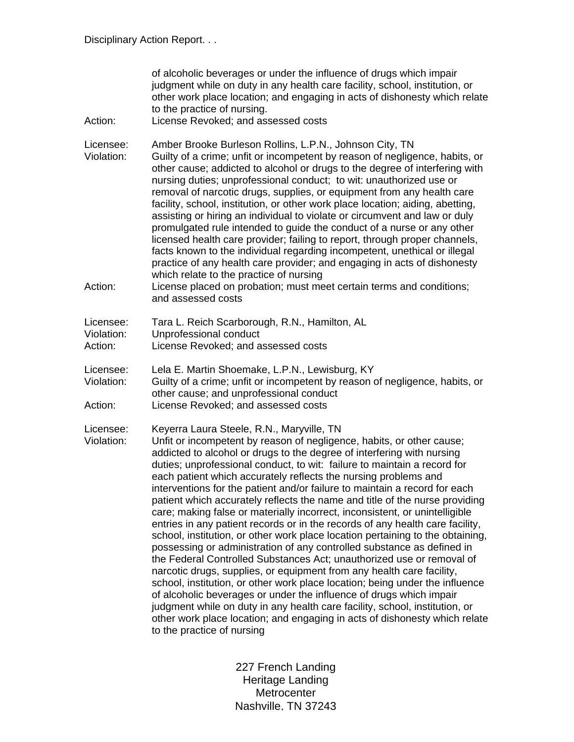| Action:                            | of alcoholic beverages or under the influence of drugs which impair<br>judgment while on duty in any health care facility, school, institution, or<br>other work place location; and engaging in acts of dishonesty which relate<br>to the practice of nursing.<br>License Revoked; and assessed costs                                                                                                                                                                                                                                                                                                                                                                                                                                                                                                                                                                                                                                                                                                                                                                                                                                                                                                                                                                                                                                   |
|------------------------------------|------------------------------------------------------------------------------------------------------------------------------------------------------------------------------------------------------------------------------------------------------------------------------------------------------------------------------------------------------------------------------------------------------------------------------------------------------------------------------------------------------------------------------------------------------------------------------------------------------------------------------------------------------------------------------------------------------------------------------------------------------------------------------------------------------------------------------------------------------------------------------------------------------------------------------------------------------------------------------------------------------------------------------------------------------------------------------------------------------------------------------------------------------------------------------------------------------------------------------------------------------------------------------------------------------------------------------------------|
| Licensee:<br>Violation:            | Amber Brooke Burleson Rollins, L.P.N., Johnson City, TN<br>Guilty of a crime; unfit or incompetent by reason of negligence, habits, or<br>other cause; addicted to alcohol or drugs to the degree of interfering with<br>nursing duties; unprofessional conduct; to wit: unauthorized use or<br>removal of narcotic drugs, supplies, or equipment from any health care<br>facility, school, institution, or other work place location; aiding, abetting,<br>assisting or hiring an individual to violate or circumvent and law or duly<br>promulgated rule intended to guide the conduct of a nurse or any other<br>licensed health care provider; failing to report, through proper channels,<br>facts known to the individual regarding incompetent, unethical or illegal<br>practice of any health care provider; and engaging in acts of dishonesty<br>which relate to the practice of nursing                                                                                                                                                                                                                                                                                                                                                                                                                                       |
| Action:                            | License placed on probation; must meet certain terms and conditions;<br>and assessed costs                                                                                                                                                                                                                                                                                                                                                                                                                                                                                                                                                                                                                                                                                                                                                                                                                                                                                                                                                                                                                                                                                                                                                                                                                                               |
| Licensee:<br>Violation:<br>Action: | Tara L. Reich Scarborough, R.N., Hamilton, AL<br>Unprofessional conduct<br>License Revoked; and assessed costs                                                                                                                                                                                                                                                                                                                                                                                                                                                                                                                                                                                                                                                                                                                                                                                                                                                                                                                                                                                                                                                                                                                                                                                                                           |
| Licensee:<br>Violation:<br>Action: | Lela E. Martin Shoemake, L.P.N., Lewisburg, KY<br>Guilty of a crime; unfit or incompetent by reason of negligence, habits, or<br>other cause; and unprofessional conduct<br>License Revoked; and assessed costs                                                                                                                                                                                                                                                                                                                                                                                                                                                                                                                                                                                                                                                                                                                                                                                                                                                                                                                                                                                                                                                                                                                          |
| Licensee:<br>Violation:            | Keyerra Laura Steele, R.N., Maryville, TN<br>Unfit or incompetent by reason of negligence, habits, or other cause;<br>addicted to alcohol or drugs to the degree of interfering with nursing<br>duties; unprofessional conduct, to wit: failure to maintain a record for<br>each patient which accurately reflects the nursing problems and<br>interventions for the patient and/or failure to maintain a record for each<br>patient which accurately reflects the name and title of the nurse providing<br>care; making false or materially incorrect, inconsistent, or unintelligible<br>entries in any patient records or in the records of any health care facility,<br>school, institution, or other work place location pertaining to the obtaining,<br>possessing or administration of any controlled substance as defined in<br>the Federal Controlled Substances Act; unauthorized use or removal of<br>narcotic drugs, supplies, or equipment from any health care facility,<br>school, institution, or other work place location; being under the influence<br>of alcoholic beverages or under the influence of drugs which impair<br>judgment while on duty in any health care facility, school, institution, or<br>other work place location; and engaging in acts of dishonesty which relate<br>to the practice of nursing |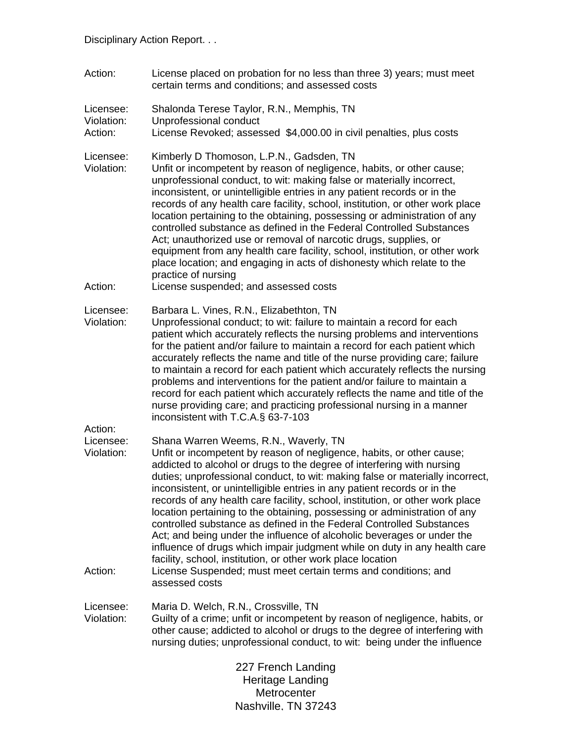| Action:                            | License placed on probation for no less than three 3) years; must meet<br>certain terms and conditions; and assessed costs                                                                                                                                                                                                                                                                                                                                                                                                                                                                                                                                                                                                                                       |
|------------------------------------|------------------------------------------------------------------------------------------------------------------------------------------------------------------------------------------------------------------------------------------------------------------------------------------------------------------------------------------------------------------------------------------------------------------------------------------------------------------------------------------------------------------------------------------------------------------------------------------------------------------------------------------------------------------------------------------------------------------------------------------------------------------|
| Licensee:<br>Violation:<br>Action: | Shalonda Terese Taylor, R.N., Memphis, TN<br>Unprofessional conduct<br>License Revoked; assessed \$4,000.00 in civil penalties, plus costs                                                                                                                                                                                                                                                                                                                                                                                                                                                                                                                                                                                                                       |
| Licensee:<br>Violation:            | Kimberly D Thomoson, L.P.N., Gadsden, TN<br>Unfit or incompetent by reason of negligence, habits, or other cause;<br>unprofessional conduct, to wit: making false or materially incorrect,<br>inconsistent, or unintelligible entries in any patient records or in the<br>records of any health care facility, school, institution, or other work place<br>location pertaining to the obtaining, possessing or administration of any<br>controlled substance as defined in the Federal Controlled Substances<br>Act; unauthorized use or removal of narcotic drugs, supplies, or<br>equipment from any health care facility, school, institution, or other work<br>place location; and engaging in acts of dishonesty which relate to the<br>practice of nursing |
| Action:                            | License suspended; and assessed costs                                                                                                                                                                                                                                                                                                                                                                                                                                                                                                                                                                                                                                                                                                                            |
| Licensee:<br>Violation:            | Barbara L. Vines, R.N., Elizabethton, TN<br>Unprofessional conduct; to wit: failure to maintain a record for each<br>patient which accurately reflects the nursing problems and interventions<br>for the patient and/or failure to maintain a record for each patient which<br>accurately reflects the name and title of the nurse providing care; failure<br>to maintain a record for each patient which accurately reflects the nursing<br>problems and interventions for the patient and/or failure to maintain a<br>record for each patient which accurately reflects the name and title of the<br>nurse providing care; and practicing professional nursing in a manner<br>inconsistent with T.C.A.§ 63-7-103                                               |
| Action:<br>Licensee:<br>Violation: | Shana Warren Weems, R.N., Waverly, TN<br>Unfit or incompetent by reason of negligence, habits, or other cause;<br>addicted to alcohol or drugs to the degree of interfering with nursing<br>duties; unprofessional conduct, to wit: making false or materially incorrect,<br>inconsistent, or unintelligible entries in any patient records or in the<br>records of any health care facility, school, institution, or other work place<br>location pertaining to the obtaining, possessing or administration of any<br>controlled substance as defined in the Federal Controlled Substances<br>Act; and being under the influence of alcoholic beverages or under the                                                                                            |

influence of drugs which impair judgment while on duty in any health care facility, school, institution, or other work place location Action: License Suspended; must meet certain terms and conditions; and assessed costs

Licensee: Maria D. Welch, R.N., Crossville, TN<br>Violation: Guilty of a crime: unfit or incompeten Guilty of a crime; unfit or incompetent by reason of negligence, habits, or other cause; addicted to alcohol or drugs to the degree of interfering with nursing duties; unprofessional conduct, to wit: being under the influence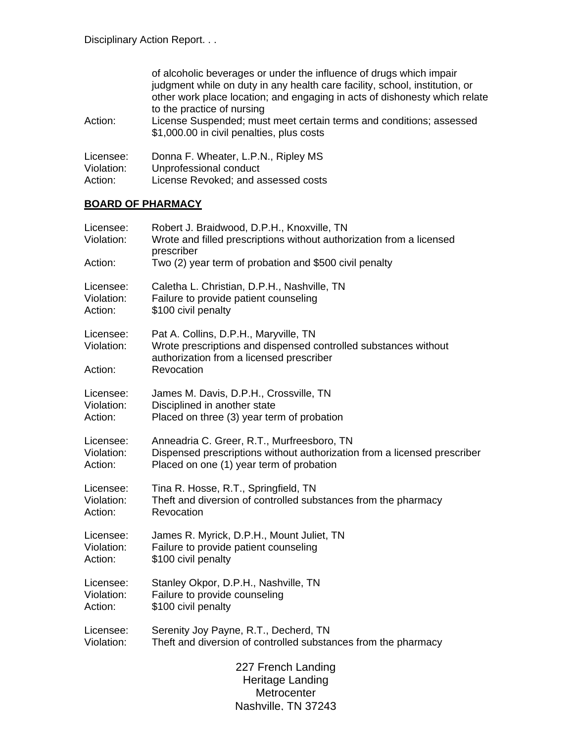|                         | of alcoholic beverages or under the influence of drugs which impair<br>judgment while on duty in any health care facility, school, institution, or<br>other work place location; and engaging in acts of dishonesty which relate<br>to the practice of nursing |
|-------------------------|----------------------------------------------------------------------------------------------------------------------------------------------------------------------------------------------------------------------------------------------------------------|
| Action:                 | License Suspended; must meet certain terms and conditions; assessed<br>\$1,000.00 in civil penalties, plus costs                                                                                                                                               |
| Licensee:<br>Violation: | Donna F. Wheater, L.P.N., Ripley MS<br>Unprofessional conduct                                                                                                                                                                                                  |

Action: License Revoked; and assessed costs

## **BOARD OF PHARMACY**

| Licensee:                          | Robert J. Braidwood, D.P.H., Knoxville, TN                                                                                                                            |  |
|------------------------------------|-----------------------------------------------------------------------------------------------------------------------------------------------------------------------|--|
| Violation:                         | Wrote and filled prescriptions without authorization from a licensed                                                                                                  |  |
| Action:                            | prescriber                                                                                                                                                            |  |
| Licensee:<br>Violation:<br>Action: | Two (2) year term of probation and \$500 civil penalty<br>Caletha L. Christian, D.P.H., Nashville, TN<br>Failure to provide patient counseling<br>\$100 civil penalty |  |
| Licensee:<br>Violation:<br>Action: | Pat A. Collins, D.P.H., Maryville, TN<br>Wrote prescriptions and dispensed controlled substances without<br>authorization from a licensed prescriber<br>Revocation    |  |
| Licensee:                          | James M. Davis, D.P.H., Crossville, TN                                                                                                                                |  |
| Violation:                         | Disciplined in another state                                                                                                                                          |  |
| Action:                            | Placed on three (3) year term of probation                                                                                                                            |  |
| Licensee:                          | Anneadria C. Greer, R.T., Murfreesboro, TN                                                                                                                            |  |
| Violation:                         | Dispensed prescriptions without authorization from a licensed prescriber                                                                                              |  |
| Action:                            | Placed on one (1) year term of probation                                                                                                                              |  |
| Licensee:                          | Tina R. Hosse, R.T., Springfield, TN                                                                                                                                  |  |
| Violation:                         | Theft and diversion of controlled substances from the pharmacy                                                                                                        |  |
| Action:                            | Revocation                                                                                                                                                            |  |
| Licensee:                          | James R. Myrick, D.P.H., Mount Juliet, TN                                                                                                                             |  |
| Violation:                         | Failure to provide patient counseling                                                                                                                                 |  |
| Action:                            | \$100 civil penalty                                                                                                                                                   |  |
| Licensee:                          | Stanley Okpor, D.P.H., Nashville, TN                                                                                                                                  |  |
| Violation:                         | Failure to provide counseling                                                                                                                                         |  |
| Action:                            | \$100 civil penalty                                                                                                                                                   |  |
| Licensee:                          | Serenity Joy Payne, R.T., Decherd, TN                                                                                                                                 |  |
| Violation:                         | Theft and diversion of controlled substances from the pharmacy                                                                                                        |  |
|                                    | 227 French Landing<br>Heritage Landing<br>Metrocenter<br>Nashville. TN 37243                                                                                          |  |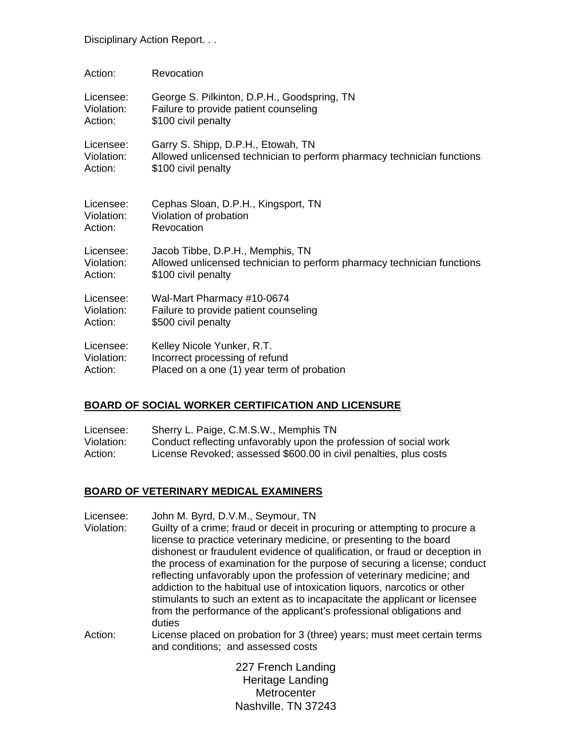| Action:    | Revocation                                                             |
|------------|------------------------------------------------------------------------|
| Licensee:  | George S. Pilkinton, D.P.H., Goodspring, TN                            |
| Violation: | Failure to provide patient counseling                                  |
| Action:    | \$100 civil penalty                                                    |
| Licensee:  | Garry S. Shipp, D.P.H., Etowah, TN                                     |
| Violation: | Allowed unlicensed technician to perform pharmacy technician functions |
| Action:    | \$100 civil penalty                                                    |
| Licensee:  | Cephas Sloan, D.P.H., Kingsport, TN                                    |
| Violation: | Violation of probation                                                 |
| Action:    | Revocation                                                             |
| Licensee:  | Jacob Tibbe, D.P.H., Memphis, TN                                       |
| Violation: | Allowed unlicensed technician to perform pharmacy technician functions |
| Action:    | \$100 civil penalty                                                    |
| Licensee:  | Wal-Mart Pharmacy #10-0674                                             |
| Violation: | Failure to provide patient counseling                                  |
| Action:    | \$500 civil penalty                                                    |
| Licensee:  | Kelley Nicole Yunker, R.T.                                             |
| Violation: | Incorrect processing of refund                                         |
| Action:    | Placed on a one (1) year term of probation                             |

### **BOARD OF SOCIAL WORKER CERTIFICATION AND LICENSURE**

| Licensee:  | Sherry L. Paige, C.M.S.W., Memphis TN                             |
|------------|-------------------------------------------------------------------|
| Violation: | Conduct reflecting unfavorably upon the profession of social work |
| Action:    | License Revoked; assessed \$600.00 in civil penalties, plus costs |

### **BOARD OF VETERINARY MEDICAL EXAMINERS**

- Licensee: John M. Byrd, D.V.M., Seymour, TN Violation: Guilty of a crime; fraud or deceit in procuring or attempting to procure a license to practice veterinary medicine, or presenting to the board dishonest or fraudulent evidence of qualification, or fraud or deception in the process of examination for the purpose of securing a license; conduct reflecting unfavorably upon the profession of veterinary medicine; and addiction to the habitual use of intoxication liquors, narcotics or other stimulants to such an extent as to incapacitate the applicant or licensee from the performance of the applicant's professional obligations and duties
- Action: License placed on probation for 3 (three) years; must meet certain terms and conditions; and assessed costs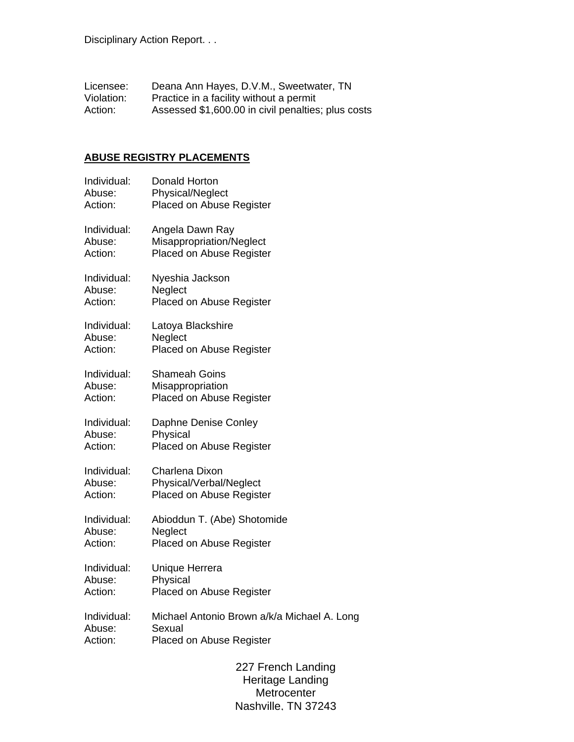Licensee: Deana Ann Hayes, D.V.M., Sweetwater, TN Violation: Practice in a facility without a permit Action: Assessed \$1,600.00 in civil penalties; plus costs

## **ABUSE REGISTRY PLACEMENTS**

| Individual: | <b>Donald Horton</b>                        |
|-------------|---------------------------------------------|
| Abuse:      | Physical/Neglect                            |
| Action:     | Placed on Abuse Register                    |
| Individual: | Angela Dawn Ray                             |
| Abuse:      | Misappropriation/Neglect                    |
| Action:     | Placed on Abuse Register                    |
| Individual: | Nyeshia Jackson                             |
| Abuse:      | Neglect                                     |
| Action:     | Placed on Abuse Register                    |
| Individual: | Latoya Blackshire                           |
| Abuse:      | Neglect                                     |
| Action:     | Placed on Abuse Register                    |
| Individual: | <b>Shameah Goins</b>                        |
| Abuse:      | Misappropriation                            |
| Action:     | Placed on Abuse Register                    |
| Individual: | Daphne Denise Conley                        |
| Abuse:      | Physical                                    |
| Action:     | Placed on Abuse Register                    |
| Individual: | Charlena Dixon                              |
| Abuse:      | Physical/Verbal/Neglect                     |
| Action:     | Placed on Abuse Register                    |
| Individual: | Abioddun T. (Abe) Shotomide                 |
| Abuse:      | Neglect                                     |
| Action:     | Placed on Abuse Register                    |
| Individual: | <b>Unique Herrera</b>                       |
| Abuse:      | Physical                                    |
| Action:     | <b>Placed on Abuse Register</b>             |
| Individual: | Michael Antonio Brown a/k/a Michael A. Long |
| Abuse:      | Sexual                                      |
| Action:     | Placed on Abuse Register                    |
|             | 227 French Landing<br>Heritage Landing      |

Metrocenter www.coom.com<br>Nashville, TN 37243